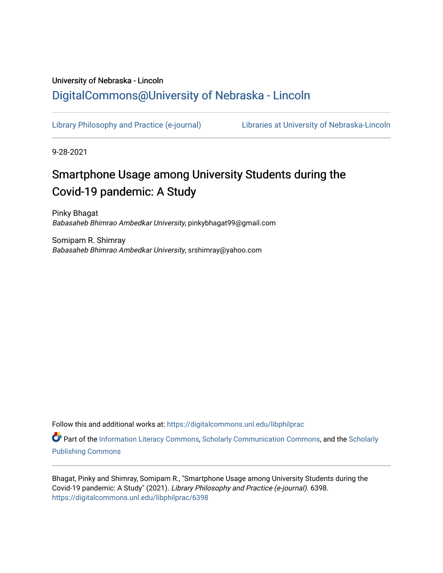# University of Nebraska - Lincoln [DigitalCommons@University of Nebraska - Lincoln](https://digitalcommons.unl.edu/)

[Library Philosophy and Practice \(e-journal\)](https://digitalcommons.unl.edu/libphilprac) [Libraries at University of Nebraska-Lincoln](https://digitalcommons.unl.edu/libraries) 

9-28-2021

# Smartphone Usage among University Students during the Covid-19 pandemic: A Study

Pinky Bhagat Babasaheb Bhimrao Ambedkar University, pinkybhagat99@gmail.com

Somipam R. Shimray Babasaheb Bhimrao Ambedkar University, srshimray@yahoo.com

Follow this and additional works at: [https://digitalcommons.unl.edu/libphilprac](https://digitalcommons.unl.edu/libphilprac?utm_source=digitalcommons.unl.edu%2Flibphilprac%2F6398&utm_medium=PDF&utm_campaign=PDFCoverPages) 

Part of the [Information Literacy Commons](http://network.bepress.com/hgg/discipline/1243?utm_source=digitalcommons.unl.edu%2Flibphilprac%2F6398&utm_medium=PDF&utm_campaign=PDFCoverPages), [Scholarly Communication Commons](http://network.bepress.com/hgg/discipline/1272?utm_source=digitalcommons.unl.edu%2Flibphilprac%2F6398&utm_medium=PDF&utm_campaign=PDFCoverPages), and the [Scholarly](http://network.bepress.com/hgg/discipline/1273?utm_source=digitalcommons.unl.edu%2Flibphilprac%2F6398&utm_medium=PDF&utm_campaign=PDFCoverPages) [Publishing Commons](http://network.bepress.com/hgg/discipline/1273?utm_source=digitalcommons.unl.edu%2Flibphilprac%2F6398&utm_medium=PDF&utm_campaign=PDFCoverPages)

Bhagat, Pinky and Shimray, Somipam R., "Smartphone Usage among University Students during the Covid-19 pandemic: A Study" (2021). Library Philosophy and Practice (e-journal). 6398. [https://digitalcommons.unl.edu/libphilprac/6398](https://digitalcommons.unl.edu/libphilprac/6398?utm_source=digitalcommons.unl.edu%2Flibphilprac%2F6398&utm_medium=PDF&utm_campaign=PDFCoverPages)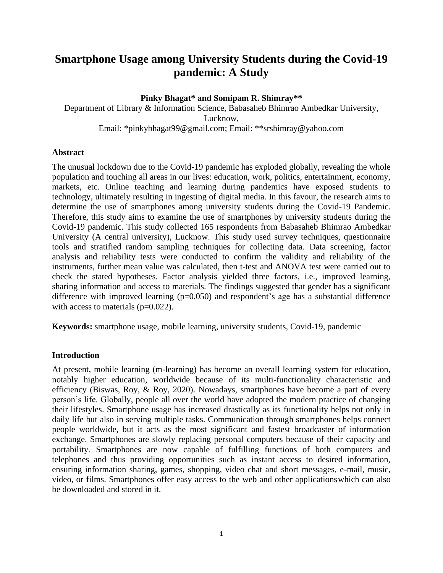# **Smartphone Usage among University Students during the Covid-19 pandemic: A Study**

#### **Pinky Bhagat\* and Somipam R. Shimray\*\***

Department of Library & Information Science, Babasaheb Bhimrao Ambedkar University, Lucknow, [Email: \\*pinkybhagat99@gmail.com;](mailto:Email-pinkybhagat99@gmail.com) Email: \*\*srshimray@yahoo.com

#### **Abstract**

The unusual lockdown due to the Covid-19 pandemic has exploded globally, revealing the whole population and touching all areas in our lives: education, work, politics, entertainment, economy, markets, etc. Online teaching and learning during pandemics have exposed students to technology, ultimately resulting in ingesting of digital media. In this favour, the research aims to determine the use of smartphones among university students during the Covid-19 Pandemic. Therefore, this study aims to examine the use of smartphones by university students during the Covid-19 pandemic. This study collected 165 respondents from Babasaheb Bhimrao Ambedkar University (A central university), Lucknow. This study used survey techniques, questionnaire tools and stratified random sampling techniques for collecting data. Data screening, factor analysis and reliability tests were conducted to confirm the validity and reliability of the instruments, further mean value was calculated, then t-test and ANOVA test were carried out to check the stated hypotheses. Factor analysis yielded three factors, i.e., improved learning, sharing information and access to materials. The findings suggested that gender has a significant difference with improved learning  $(p=0.050)$  and respondent's age has a substantial difference with access to materials  $(p=0.022)$ .

**Keywords:** smartphone usage, mobile learning, university students, Covid-19, pandemic

# **Introduction**

At present, mobile learning (m-learning) has become an overall learning system for education, notably higher education, worldwide because of its multi-functionality characteristic and efficiency (Biswas, Roy, & Roy, 2020). Nowadays, smartphones have become a part of every person's life. Globally, people all over the world have adopted the modern practice of changing their lifestyles. Smartphone usage has increased drastically as its functionality helps not only in daily life but also in serving multiple tasks. Communication through smartphones helps connect people worldwide, but it acts as the most significant and fastest broadcaster of information exchange. Smartphones are slowly replacing personal computers because of their capacity and portability. Smartphones are now capable of fulfilling functions of both computers and telephones and thus providing opportunities such as instant access to desired information, ensuring information sharing, games, shopping, video chat and short messages, e-mail, music, video, or films. Smartphones offer easy access to the web and other applicationswhich can also be downloaded and stored in it.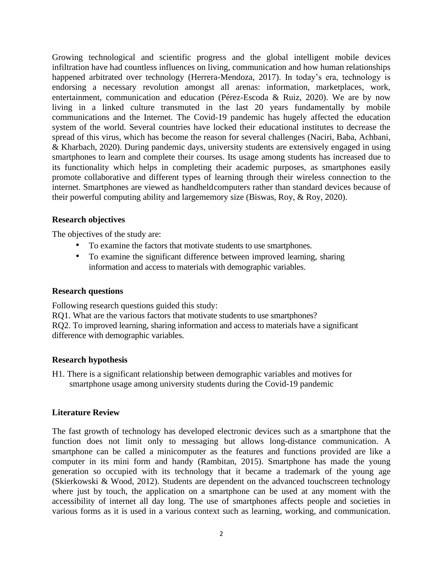Growing technological and scientific progress and the global intelligent mobile devices infiltration have had countless influences on living, communication and how human relationships happened arbitrated over technology (Herrera-Mendoza, 2017). In today's era, technology is endorsing a necessary revolution amongst all arenas: information, marketplaces, work, entertainment, communication and education (Pérez-Escoda & Ruiz, 2020). We are by now living in a linked culture transmuted in the last 20 years fundamentally by mobile communications and the Internet. The Covid-19 pandemic has hugely affected the education system of the world. Several countries have locked their educational institutes to decrease the spread of this virus, which has become the reason for several challenges (Naciri, Baba, Achbani, & Kharbach, 2020). During pandemic days, university students are extensively engaged in using smartphones to learn and complete their courses. Its usage among students has increased due to its functionality which helps in completing their academic purposes, as smartphones easily promote collaborative and different types of learning through their wireless connection to the internet. Smartphones are viewed as handheldcomputers rather than standard devices because of their powerful computing ability and largememory size (Biswas, Roy, & Roy, 2020).

# **Research objectives**

The objectives of the study are:

- To examine the factors that motivate students to use smartphones.
- To examine the significant difference between improved learning, sharing information and access to materials with demographic variables.

#### **Research questions**

Following research questions guided this study:

RQ1. What are the various factors that motivate students to use smartphones? RQ2. To improved learning, sharing information and access to materials have a significant difference with demographic variables.

# **Research hypothesis**

H1. There is a significant relationship between demographic variables and motives for smartphone usage among university students during the Covid-19 pandemic

# **Literature Review**

The fast growth of technology has developed electronic devices such as a smartphone that the function does not limit only to messaging but allows long-distance communication. A smartphone can be called a minicomputer as the features and functions provided are like a computer in its mini form and handy (Rambitan, 2015). Smartphone has made the young generation so occupied with its technology that it became a trademark of the young age (Skierkowski & Wood, 2012). Students are dependent on the advanced touchscreen technology where just by touch, the application on a smartphone can be used at any moment with the accessibility of internet all day long. The use of smartphones affects people and societies in various forms as it is used in a various context such as learning, working, and communication.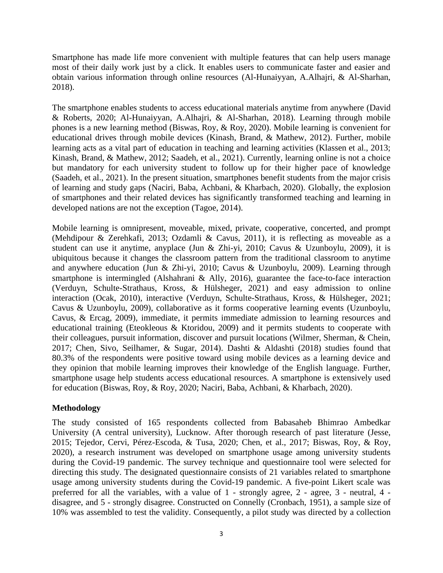Smartphone has made life more convenient with multiple features that can help users manage most of their daily work just by a click. It enables users to communicate faster and easier and obtain various information through online resources (Al-Hunaiyyan, A.Alhajri, & Al-Sharhan, 2018).

The smartphone enables students to access educational materials anytime from anywhere (David & Roberts, 2020; Al-Hunaiyyan, A.Alhajri, & Al-Sharhan, 2018). Learning through mobile phones is a new learning method (Biswas, Roy, & Roy, 2020). Mobile learning is convenient for educational drives through mobile devices (Kinash, Brand, & Mathew, 2012). Further, mobile learning acts as a vital part of education in teaching and learning activities (Klassen et al., 2013; Kinash, Brand, & Mathew, 2012; Saadeh, et al., 2021). Currently, learning online is not a choice but mandatory for each university student to follow up for their higher pace of knowledge (Saadeh, et al., 2021). In the present situation, smartphones benefit students from the major crisis of learning and study gaps (Naciri, Baba, Achbani, & Kharbach, 2020). Globally, the explosion of smartphones and their related devices has significantly transformed teaching and learning in developed nations are not the exception (Tagoe, 2014).

Mobile learning is omnipresent, moveable, mixed, private, cooperative, concerted, and prompt (Mehdipour & Zerehkafi, 2013; Ozdamli & Cavus, 2011), it is reflecting as moveable as a student can use it anytime, anyplace (Jun & Zhi-yi, 2010; Cavus & Uzunboylu, 2009), it is ubiquitous because it changes the classroom pattern from the traditional classroom to anytime and anywhere education (Jun & Zhi-yi, 2010; Cavus & Uzunboylu, 2009). Learning through smartphone is intermingled (Alshahrani & Ally, 2016), guarantee the face-to-face interaction (Verduyn, Schulte-Strathaus, Kross, & Hülsheger, 2021) and easy admission to online interaction (Ocak, 2010), interactive (Verduyn, Schulte-Strathaus, Kross, & Hülsheger, 2021; Cavus & Uzunboylu, 2009), collaborative as it forms cooperative learning events (Uzunboylu, Cavus, & Ercag, 2009), immediate, it permits immediate admission to learning resources and educational training (Eteokleous & Ktoridou, 2009) and it permits students to cooperate with their colleagues, pursuit information, discover and pursuit locations (Wilmer, Sherman, & Chein, 2017; Chen, Sivo, Seilhamer, & Sugar, 2014). Dashti & Aldashti (2018) studies found that 80.3% of the respondents were positive toward using mobile devices as a learning device and they opinion that mobile learning improves their knowledge of the English language. Further, smartphone usage help students access educational resources. A smartphone is extensively used for education (Biswas, Roy, & Roy, 2020; Naciri, Baba, Achbani, & Kharbach, 2020).

# **Methodology**

The study consisted of 165 respondents collected from Babasaheb Bhimrao Ambedkar University (A central university), Lucknow. After thorough research of past literature (Jesse, 2015; Tejedor, Cervi, Pérez-Escoda, & Tusa, 2020; Chen, et al., 2017; Biswas, Roy, & Roy, 2020), a research instrument was developed on smartphone usage among university students during the Covid-19 pandemic. The survey technique and questionnaire tool were selected for directing this study. The designated questionnaire consists of 21 variables related to smartphone usage among university students during the Covid-19 pandemic. A five-point Likert scale was preferred for all the variables, with a value of 1 - strongly agree, 2 - agree, 3 - neutral, 4 disagree, and 5 - strongly disagree. Constructed on Connelly (Cronbach, 1951), a sample size of 10% was assembled to test the validity. Consequently, a pilot study was directed by a collection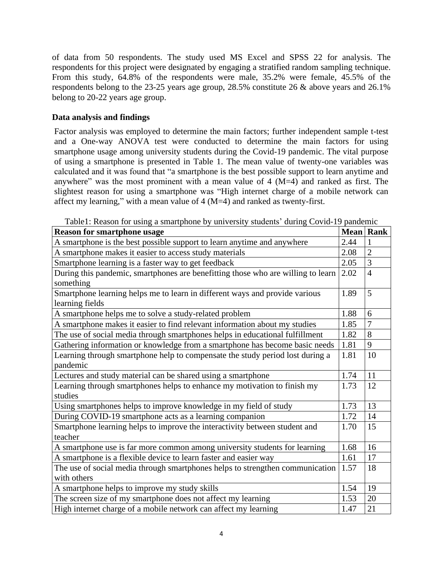of data from 50 respondents. The study used MS Excel and SPSS 22 for analysis. The respondents for this project were designated by engaging a stratified random sampling technique. From this study, 64.8% of the respondents were male, 35.2% were female, 45.5% of the respondents belong to the 23-25 years age group, 28.5% constitute 26 & above years and 26.1% belong to 20-22 years age group.

# **Data analysis and findings**

Factor analysis was employed to determine the main factors; further independent sample t-test and a One-way ANOVA test were conducted to determine the main factors for using smartphone usage among university students during the Covid-19 pandemic. The vital purpose of using a smartphone is presented in Table 1. The mean value of twenty-one variables was calculated and it was found that "a smartphone is the best possible support to learn anytime and anywhere" was the most prominent with a mean value of  $4 \, (M=4)$  and ranked as first. The slightest reason for using a smartphone was "High internet charge of a mobile network can affect my learning," with a mean value of 4 (M=4) and ranked as twenty-first.

| <b>Reason for smartphone usage</b>                                                             | <b>Mean</b> Rank |                |
|------------------------------------------------------------------------------------------------|------------------|----------------|
| A smartphone is the best possible support to learn anytime and anywhere                        | 2.44             | 1              |
| A smartphone makes it easier to access study materials                                         | 2.08             | $\overline{2}$ |
| Smartphone learning is a faster way to get feedback                                            | 2.05             | 3              |
| During this pandemic, smartphones are benefitting those who are willing to learn<br>something  | 2.02             | $\overline{4}$ |
| Smartphone learning helps me to learn in different ways and provide various<br>learning fields | 1.89             | 5              |
| A smartphone helps me to solve a study-related problem                                         | 1.88             | 6              |
| A smartphone makes it easier to find relevant information about my studies                     | 1.85             | $\overline{7}$ |
| The use of social media through smartphones helps in educational fulfillment                   | 1.82             | 8              |
| Gathering information or knowledge from a smartphone has become basic needs                    | 1.81             | 9              |
| Learning through smartphone help to compensate the study period lost during a<br>pandemic      | 1.81             | 10             |
| Lectures and study material can be shared using a smartphone                                   | 1.74             | 11             |
| Learning through smartphones helps to enhance my motivation to finish my<br>studies            | 1.73             | 12             |
| Using smartphones helps to improve knowledge in my field of study                              | 1.73             | 13             |
| During COVID-19 smartphone acts as a learning companion                                        | 1.72             | 14             |
| Smartphone learning helps to improve the interactivity between student and<br>teacher          | 1.70             | 15             |
| A smartphone use is far more common among university students for learning                     | 1.68             | 16             |
| A smartphone is a flexible device to learn faster and easier way                               | 1.61             | 17             |
| The use of social media through smartphones helps to strengthen communication<br>with others   | 1.57             | 18             |
| A smartphone helps to improve my study skills                                                  | 1.54             | 19             |
| The screen size of my smartphone does not affect my learning                                   | 1.53             | 20             |
| High internet charge of a mobile network can affect my learning                                | 1.47             | 21             |

Table1: Reason for using a smartphone by university students' during Covid-19 pandemic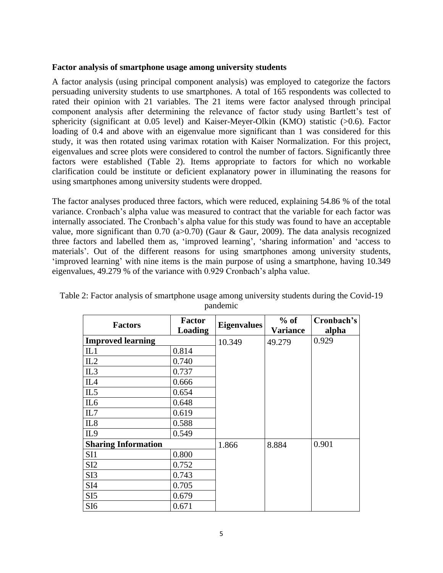#### **Factor analysis of smartphone usage among university students**

A factor analysis (using principal component analysis) was employed to categorize the factors persuading university students to use smartphones. A total of 165 respondents was collected to rated their opinion with 21 variables. The 21 items were factor analysed through principal component analysis after determining the relevance of factor study using Bartlett's test of sphericity (significant at 0.05 level) and Kaiser-Meyer-Olkin (KMO) statistic (>0.6). Factor loading of 0.4 and above with an eigenvalue more significant than 1 was considered for this study, it was then rotated using varimax rotation with Kaiser Normalization. For this project, eigenvalues and scree plots were considered to control the number of factors. Significantly three factors were established (Table 2). Items appropriate to factors for which no workable clarification could be institute or deficient explanatory power in illuminating the reasons for using smartphones among university students were dropped.

The factor analyses produced three factors, which were reduced, explaining 54.86 % of the total variance. Cronbach's alpha value was measured to contract that the variable for each factor was internally associated. The Cronbach's alpha value for this study was found to have an acceptable value, more significant than  $0.70$  ( $a>0.70$ ) (Gaur & Gaur, 2009). The data analysis recognized three factors and labelled them as, 'improved learning', 'sharing information' and 'access to materials'. Out of the different reasons for using smartphones among university students, 'improved learning' with nine items is the main purpose of using a smartphone, having 10.349 eigenvalues, 49.279 % of the variance with 0.929 Cronbach's alpha value.

| <b>Factors</b>             | <b>Factor</b><br><b>Loading</b> | <b>Eigenvalues</b> | $%$ of<br><b>Variance</b> | Cronbach's<br>alpha |
|----------------------------|---------------------------------|--------------------|---------------------------|---------------------|
| <b>Improved learning</b>   |                                 | 10.349             | 49.279                    | 0.929               |
| IL1                        | 0.814                           |                    |                           |                     |
| IL2                        | 0.740                           |                    |                           |                     |
| IL3                        | 0.737                           |                    |                           |                     |
| IL <sub>4</sub>            | 0.666                           |                    |                           |                     |
| IL5                        | 0.654                           |                    |                           |                     |
| IL <sub>6</sub>            | 0.648                           |                    |                           |                     |
| IL7                        | 0.619                           |                    |                           |                     |
| IL8                        | 0.588                           |                    |                           |                     |
| IL <sub>9</sub>            | 0.549                           |                    |                           |                     |
| <b>Sharing Information</b> |                                 | 1.866              | 8.884                     | 0.901               |
| SI1                        | 0.800                           |                    |                           |                     |
| SI2                        | 0.752                           |                    |                           |                     |
| SI3                        | 0.743                           |                    |                           |                     |
| SI <sub>4</sub>            | 0.705                           |                    |                           |                     |
| SI <sub>5</sub>            | 0.679                           |                    |                           |                     |
| SI <sub>6</sub>            | 0.671                           |                    |                           |                     |

Table 2: Factor analysis of smartphone usage among university students during the Covid-19 pandemic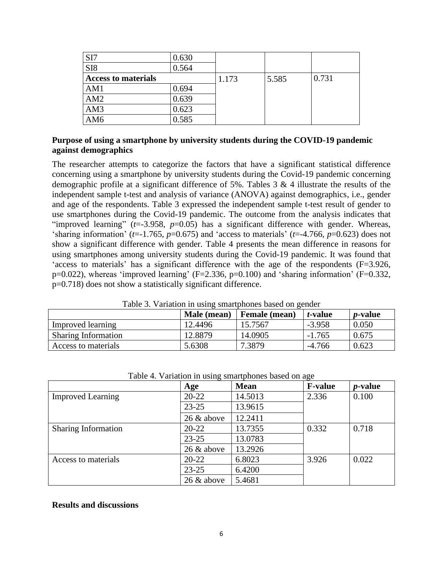| SI7                        | 0.630 |       |       |       |
|----------------------------|-------|-------|-------|-------|
| SI <sub>8</sub>            | 0.564 |       |       |       |
| <b>Access to materials</b> |       | 1.173 | 5.585 | 0.731 |
| AM1                        | 0.694 |       |       |       |
| AM2                        | 0.639 |       |       |       |
| AM3                        | 0.623 |       |       |       |
| AM <sub>6</sub>            | 0.585 |       |       |       |

# **Purpose of using a smartphone by university students during the COVID-19 pandemic against demographics**

The researcher attempts to categorize the factors that have a significant statistical difference concerning using a smartphone by university students during the Covid-19 pandemic concerning demographic profile at a significant difference of 5%. Tables 3 & 4 illustrate the results of the independent sample t-test and analysis of variance (ANOVA) against demographics, i.e., gender and age of the respondents. Table 3 expressed the independent sample t-test result of gender to use smartphones during the Covid-19 pandemic. The outcome from the analysis indicates that "improved learning" (*t*=-3.958, *p*=0.05) has a significant difference with gender. Whereas, 'sharing information' ( $t=1.765$ ,  $p=0.675$ ) and 'access to materials' ( $t=4.766$ ,  $p=0.623$ ) does not show a significant difference with gender. Table 4 presents the mean difference in reasons for using smartphones among university students during the Covid-19 pandemic. It was found that 'access to materials' has a significant difference with the age of the respondents (F=3.926, p=0.022), whereas 'improved learning' (F=2.336, p=0.100) and 'sharing information' (F=0.332, p=0.718) does not show a statistically significant difference.

| Twore of a minimum in woming onther priorities only on general |             |               |                 |                 |
|----------------------------------------------------------------|-------------|---------------|-----------------|-----------------|
|                                                                | Male (mean) | Female (mean) | <i>t</i> -value | <i>p</i> -value |
| Improved learning                                              | 12.4496     | 15.7567       | $-3.958$        | 0.050           |
| <b>Sharing Information</b>                                     | 12.8879     | 14.0905       | $-1.765$        | 0.675           |
| Access to materials                                            | 5.6308      | 7.3879        | $-4.766$        | 0.623           |

Table 3. Variation in using smartphones based on gender

|                            | Age           | <b>Mean</b> | <b>F-value</b> | <i>p</i> -value |
|----------------------------|---------------|-------------|----------------|-----------------|
| <b>Improved Learning</b>   | $20 - 22$     | 14.5013     | 2.336          | 0.100           |
|                            | $23 - 25$     | 13.9615     |                |                 |
|                            | $26 \&$ above | 12.2411     |                |                 |
| <b>Sharing Information</b> | $20 - 22$     | 13.7355     | 0.332          | 0.718           |
|                            | $23 - 25$     | 13.0783     |                |                 |
|                            | 26 & above    | 13.2926     |                |                 |
| Access to materials        | $20 - 22$     | 6.8023      | 3.926          | 0.022           |
|                            | $23 - 25$     | 6.4200      |                |                 |
|                            | $26 \&$ above | 5.4681      |                |                 |

Table 4. Variation in using smartphones based on age

#### **Results and discussions**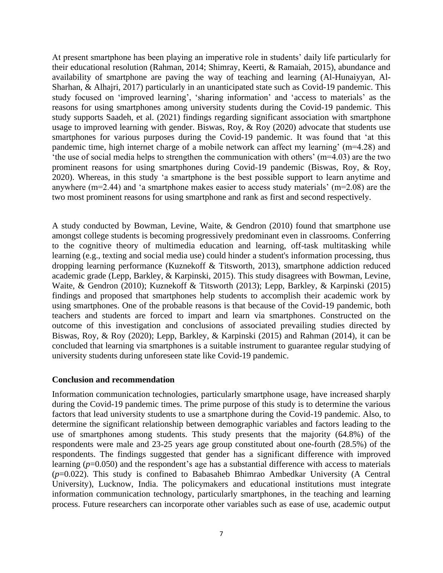At present smartphone has been playing an imperative role in students' daily life particularly for their educational resolution (Rahman, 2014; Shimray, Keerti, & Ramaiah, 2015), abundance and availability of smartphone are paving the way of teaching and learning (Al-Hunaiyyan, Al-Sharhan, & Alhajri, 2017) particularly in an unanticipated state such as Covid-19 pandemic. This study focused on 'improved learning', 'sharing information' and 'access to materials' as the reasons for using smartphones among university students during the Covid-19 pandemic. This study supports Saadeh, et al. (2021) findings regarding significant association with smartphone usage to improved learning with gender. Biswas, Roy, & Roy (2020) advocate that students use smartphones for various purposes during the Covid-19 pandemic. It was found that 'at this pandemic time, high internet charge of a mobile network can affect my learning' (m=4.28) and 'the use of social media helps to strengthen the communication with others' (m=4.03) are the two prominent reasons for using smartphones during Covid-19 pandemic (Biswas, Roy, & Roy, 2020). Whereas, in this study 'a smartphone is the best possible support to learn anytime and anywhere (m=2.44) and 'a smartphone makes easier to access study materials' (m=2.08) are the two most prominent reasons for using smartphone and rank as first and second respectively.

A study conducted by Bowman, Levine, Waite, & Gendron (2010) found that smartphone use amongst college students is becoming progressively predominant even in classrooms. Conferring to the cognitive theory of multimedia education and learning, off-task multitasking while learning (e.g., texting and social media use) could hinder a student's information processing, thus dropping learning performance (Kuznekoff & Titsworth, 2013), smartphone addiction reduced academic grade (Lepp, Barkley, & Karpinski, 2015). This study disagrees with Bowman, Levine, Waite, & Gendron (2010); Kuznekoff & Titsworth (2013); Lepp, Barkley, & Karpinski (2015) findings and proposed that smartphones help students to accomplish their academic work by using smartphones. One of the probable reasons is that because of the Covid-19 pandemic, both teachers and students are forced to impart and learn via smartphones. Constructed on the outcome of this investigation and conclusions of associated prevailing studies directed by Biswas, Roy, & Roy (2020); Lepp, Barkley, & Karpinski (2015) and Rahman (2014), it can be concluded that learning via smartphones is a suitable instrument to guarantee regular studying of university students during unforeseen state like Covid-19 pandemic.

#### **Conclusion and recommendation**

Information communication technologies, particularly smartphone usage, have increased sharply during the Covid-19 pandemic times. The prime purpose of this study is to determine the various factors that lead university students to use a smartphone during the Covid-19 pandemic. Also, to determine the significant relationship between demographic variables and factors leading to the use of smartphones among students. This study presents that the majority (64.8%) of the respondents were male and 23-25 years age group constituted about one-fourth (28.5%) of the respondents. The findings suggested that gender has a significant difference with improved learning ( $p=0.050$ ) and the respondent's age has a substantial difference with access to materials (*p*=0.022). This study is confined to Babasaheb Bhimrao Ambedkar University (A Central University), Lucknow, India. The policymakers and educational institutions must integrate information communication technology, particularly smartphones, in the teaching and learning process. Future researchers can incorporate other variables such as ease of use, academic output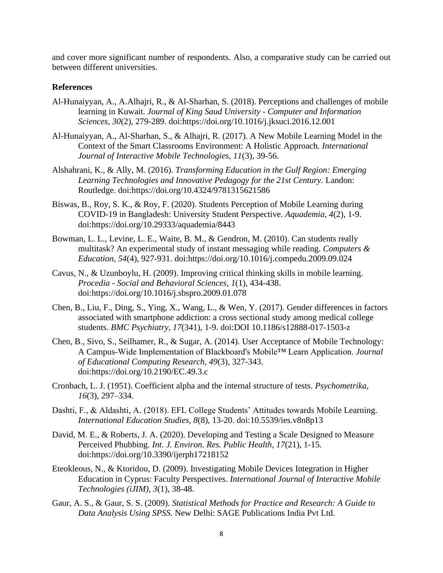and cover more significant number of respondents. Also, a comparative study can be carried out between different universities.

#### **References**

- Al-Hunaiyyan, A., A.Alhajri, R., & Al-Sharhan, S. (2018). Perceptions and challenges of mobile learning in Kuwait. *Journal of King Saud University - Computer and Information Sciences, 30*(2), 279-289. doi:https://doi.org/10.1016/j.jksuci.2016.12.001
- Al-Hunaiyyan, A., Al-Sharhan, S., & Alhajri, R. (2017). A New Mobile Learning Model in the Context of the Smart Classrooms Environment: A Holistic Approach. *International Journal of Interactive Mobile Technologies, 11*(3), 39-56.
- Alshahrani, K., & Ally, M. (2016). *Transforming Education in the Gulf Region: Emerging Learning Technologies and Innovative Pedagogy for the 21st Century.* Landon: Routledge. doi:https://doi.org/10.4324/9781315621586
- Biswas, B., Roy, S. K., & Roy, F. (2020). Students Perception of Mobile Learning during COVID-19 in Bangladesh: University Student Perspective. *Aquademia, 4*(2), 1-9. doi:https://doi.org/10.29333/aquademia/8443
- Bowman, L. L., Levine, L. E., Waite, B. M., & Gendron, M. (2010). Can students really multitask? An experimental study of instant messaging while reading. *Computers & Education, 54*(4), 927-931. doi:https://doi.org/10.1016/j.compedu.2009.09.024
- Cavus, N., & Uzunboylu, H. (2009). Improving critical thinking skills in mobile learning. *Procedia - Social and Behavioral Sciences, 1*(1), 434-438. doi:https://doi.org/10.1016/j.sbspro.2009.01.078
- Chen, B., Liu, F., Ding, S., Ying, X., Wang, L., & Wen, Y. (2017). Gender differences in factors associated with smartphone addiction: a cross sectional study among medical college students. *BMC Psychiatry, 17*(341), 1-9. doi:DOI 10.1186/s12888-017-1503-z
- Chen, B., Sivo, S., Seilhamer, R., & Sugar, A. (2014). User Acceptance of Mobile Technology: A Campus-Wide Implementation of Blackboard's Mobile™ Learn Application. *Journal of Educational Computing Research, 49*(3), 327-343. doi:https://doi.org/10.2190/EC.49.3.c
- Cronbach, L. J. (1951). Coefficient alpha and the internal structure of tests. *Psychometrika, 16*(3), 297–334.
- Dashti, F., & Aldashti, A. (2018). EFL College Students' Attitudes towards Mobile Learning. *International Education Studies, 8*(8), 13-20. doi:10.5539/ies.v8n8p13
- David, M. E., & Roberts, J. A. (2020). Developing and Testing a Scale Designed to Measure Perceived Phubbing. *Int. J. Environ. Res. Public Health, 17*(21), 1-15. doi:https://doi.org/10.3390/ijerph17218152
- Eteokleous, N., & Ktoridou, D. (2009). Investigating Mobile Devices Integration in Higher Education in Cyprus: Faculty Perspectives. *International Journal of Interactive Mobile Technologies (iJIM), 3*(1), 38-48.
- Gaur, A. S., & Gaur, S. S. (2009). *Statistical Methods for Practice and Research: A Guide to Data Analysis Using SPSS.* New Delhi: SAGE Publications India Pvt Ltd.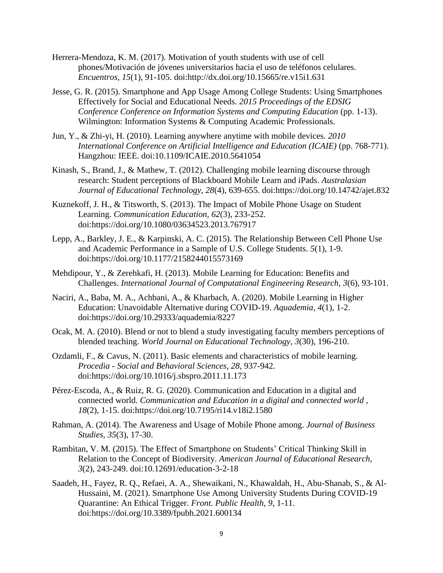- Herrera-Mendoza, K. M. (2017). Motivation of youth students with use of cell phones/Motivación de jóvenes universitarios hacia el uso de teléfonos celulares. *Encuentros, 15*(1), 91-105. doi:http://dx.doi.org/10.15665/re.v15i1.631
- Jesse, G. R. (2015). Smartphone and App Usage Among College Students: Using Smartphones Effectively for Social and Educational Needs. *2015 Proceedings of the EDSIG Conference Conference on Information Systems and Computing Education* (pp. 1-13). Wilmington: Information Systems & Computing Academic Professionals.
- Jun, Y., & Zhi-yi, H. (2010). Learning anywhere anytime with mobile devices. *2010 International Conference on Artificial Intelligence and Education (ICAIE)* (pp. 768-771). Hangzhou: IEEE. doi:10.1109/ICAIE.2010.5641054
- Kinash, S., Brand, J., & Mathew, T. (2012). Challenging mobile learning discourse through research: Student perceptions of Blackboard Mobile Learn and iPads. *Australasian Journal of Educational Technology, 28*(4), 639-655. doi:https://doi.org/10.14742/ajet.832
- Kuznekoff, J. H., & Titsworth, S. (2013). The Impact of Mobile Phone Usage on Student Learning. *Communication Education, 62*(3), 233-252. doi:https://doi.org/10.1080/03634523.2013.767917
- Lepp, A., Barkley, J. E., & Karpinski, A. C. (2015). The Relationship Between Cell Phone Use and Academic Performance in a Sample of U.S. College Students. *5*(1), 1-9. doi:https://doi.org/10.1177/2158244015573169
- Mehdipour, Y., & Zerehkafi, H. (2013). Mobile Learning for Education: Benefits and Challenges. *International Journal of Computational Engineering Research, 3*(6), 93-101.
- Naciri, A., Baba, M. A., Achbani, A., & Kharbach, A. (2020). Mobile Learning in Higher Education: Unavoidable Alternative during COVID-19. *Aquademia, 4*(1), 1-2. doi:https://doi.org/10.29333/aquademia/8227
- Ocak, M. A. (2010). Blend or not to blend a study investigating faculty members perceptions of blended teaching. *World Journal on Educational Technology, 3*(30), 196-210.
- Ozdamli, F., & Cavus, N. (2011). Basic elements and characteristics of mobile learning. *Procedia - Social and Behavioral Sciences, 28*, 937-942. doi:https://doi.org/10.1016/j.sbspro.2011.11.173
- Pérez-Escoda, A., & Ruiz, R. G. (2020). Communication and Education in a digital and connected world. *Communication and Education in a digital and connected world , 18*(2), 1-15. doi:https://doi.org/10.7195/ri14.v18i2.1580
- Rahman, A. (2014). The Awareness and Usage of Mobile Phone among. *Journal of Business Studies, 35*(3), 17-30.
- Rambitan, V. M. (2015). The Effect of Smartphone on Students' Critical Thinking Skill in Relation to the Concept of Biodiversity. *American Journal of Educational Research, 3*(2), 243-249. doi:10.12691/education-3-2-18
- Saadeh, H., Fayez, R. Q., Refaei, A. A., Shewaikani, N., Khawaldah, H., Abu-Shanab, S., & Al-Hussaini, M. (2021). Smartphone Use Among University Students During COVID-19 Quarantine: An Ethical Trigger. *Front. Public Health, 9*, 1-11. doi:https://doi.org/10.3389/fpubh.2021.600134